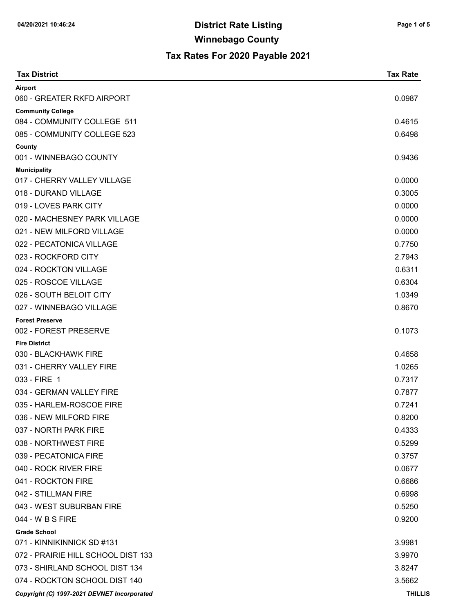| <b>Tax District</b>                         | <b>Tax Rate</b> |
|---------------------------------------------|-----------------|
| Airport                                     |                 |
| 060 - GREATER RKFD AIRPORT                  | 0.0987          |
| <b>Community College</b>                    |                 |
| 084 - COMMUNITY COLLEGE 511                 | 0.4615          |
| 085 - COMMUNITY COLLEGE 523                 | 0.6498          |
| County<br>001 - WINNEBAGO COUNTY            | 0.9436          |
| <b>Municipality</b>                         |                 |
| 017 - CHERRY VALLEY VILLAGE                 | 0.0000          |
| 018 - DURAND VILLAGE                        | 0.3005          |
| 019 - LOVES PARK CITY                       | 0.0000          |
| 020 - MACHESNEY PARK VILLAGE                | 0.0000          |
| 021 - NEW MILFORD VILLAGE                   | 0.0000          |
| 022 - PECATONICA VILLAGE                    | 0.7750          |
| 023 - ROCKFORD CITY                         | 2.7943          |
| 024 - ROCKTON VILLAGE                       | 0.6311          |
| 025 - ROSCOE VILLAGE                        | 0.6304          |
| 026 - SOUTH BELOIT CITY                     | 1.0349          |
| 027 - WINNEBAGO VILLAGE                     | 0.8670          |
| <b>Forest Preserve</b>                      |                 |
| 002 - FOREST PRESERVE                       | 0.1073          |
| <b>Fire District</b>                        |                 |
| 030 - BLACKHAWK FIRE                        | 0.4658          |
| 031 - CHERRY VALLEY FIRE                    | 1.0265          |
| 033 - FIRE 1                                | 0.7317          |
| 034 - GERMAN VALLEY FIRE                    | 0.7877          |
| 035 - HARLEM-ROSCOE FIRE                    | 0.7241          |
| 036 - NEW MILFORD FIRE                      | 0.8200          |
| 037 - NORTH PARK FIRE                       | 0.4333          |
| 038 - NORTHWEST FIRE                        | 0.5299          |
| 039 - PECATONICA FIRE                       | 0.3757          |
| 040 - ROCK RIVER FIRE                       | 0.0677          |
| 041 - ROCKTON FIRE                          | 0.6686          |
| 042 - STILLMAN FIRE                         | 0.6998          |
| 043 - WEST SUBURBAN FIRE                    | 0.5250          |
| 044 - W B S FIRE                            | 0.9200          |
| <b>Grade School</b>                         |                 |
| 071 - KINNIKINNICK SD #131                  | 3.9981          |
| 072 - PRAIRIE HILL SCHOOL DIST 133          | 3.9970          |
| 073 - SHIRLAND SCHOOL DIST 134              | 3.8247          |
| 074 - ROCKTON SCHOOL DIST 140               | 3.5662          |
| Copyright (C) 1997-2021 DEVNET Incorporated | <b>THILLIS</b>  |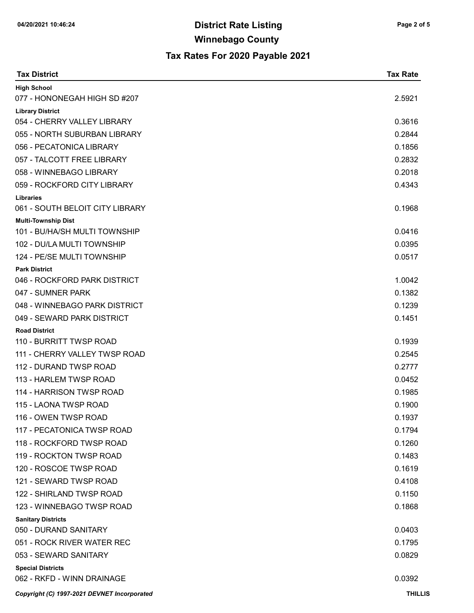| <b>Tax District</b>                                         | <b>Tax Rate</b> |
|-------------------------------------------------------------|-----------------|
| <b>High School</b>                                          |                 |
| 077 - HONONEGAH HIGH SD #207                                | 2.5921          |
| <b>Library District</b>                                     |                 |
| 054 - CHERRY VALLEY LIBRARY                                 | 0.3616          |
| 055 - NORTH SUBURBAN LIBRARY                                | 0.2844          |
| 056 - PECATONICA LIBRARY                                    | 0.1856          |
| 057 - TALCOTT FREE LIBRARY                                  | 0.2832          |
| 058 - WINNEBAGO LIBRARY                                     | 0.2018          |
| 059 - ROCKFORD CITY LIBRARY                                 | 0.4343          |
| <b>Libraries</b>                                            |                 |
| 061 - SOUTH BELOIT CITY LIBRARY                             | 0.1968          |
| <b>Multi-Township Dist</b><br>101 - BU/HA/SH MULTI TOWNSHIP |                 |
|                                                             | 0.0416          |
| 102 - DU/LA MULTI TOWNSHIP                                  | 0.0395          |
| 124 - PE/SE MULTI TOWNSHIP                                  | 0.0517          |
| <b>Park District</b><br>046 - ROCKFORD PARK DISTRICT        | 1.0042          |
| 047 - SUMNER PARK                                           | 0.1382          |
| 048 - WINNEBAGO PARK DISTRICT                               | 0.1239          |
| 049 - SEWARD PARK DISTRICT                                  | 0.1451          |
| <b>Road District</b>                                        |                 |
| 110 - BURRITT TWSP ROAD                                     | 0.1939          |
| 111 - CHERRY VALLEY TWSP ROAD                               | 0.2545          |
| 112 - DURAND TWSP ROAD                                      | 0.2777          |
| 113 - HARLEM TWSP ROAD                                      | 0.0452          |
| 114 - HARRISON TWSP ROAD                                    | 0.1985          |
| 115 - LAONA TWSP ROAD                                       | 0.1900          |
| 116 - OWEN TWSP ROAD                                        | 0.1937          |
| 117 - PECATONICA TWSP ROAD                                  | 0.1794          |
| 118 - ROCKFORD TWSP ROAD                                    | 0.1260          |
| 119 - ROCKTON TWSP ROAD                                     | 0.1483          |
| 120 - ROSCOE TWSP ROAD                                      | 0.1619          |
| 121 - SEWARD TWSP ROAD                                      | 0.4108          |
| 122 - SHIRLAND TWSP ROAD                                    | 0.1150          |
| 123 - WINNEBAGO TWSP ROAD                                   | 0.1868          |
| <b>Sanitary Districts</b>                                   |                 |
| 050 - DURAND SANITARY                                       | 0.0403          |
| 051 - ROCK RIVER WATER REC                                  | 0.1795          |
| 053 - SEWARD SANITARY                                       | 0.0829          |
| <b>Special Districts</b>                                    |                 |
| 062 - RKFD - WINN DRAINAGE                                  | 0.0392          |
| Copyright (C) 1997-2021 DEVNET Incorporated                 | <b>THILLIS</b>  |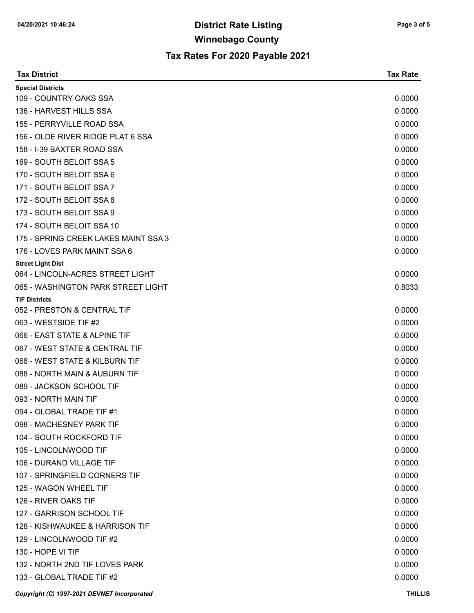| <b>Tax District</b>                         | <b>Tax Rate</b> |
|---------------------------------------------|-----------------|
| <b>Special Districts</b>                    |                 |
| 109 - COUNTRY OAKS SSA                      | 0.0000          |
| 136 - HARVEST HILLS SSA                     | 0.0000          |
| 155 - PERRYVILLE ROAD SSA                   | 0.0000          |
| 156 - OLDE RIVER RIDGE PLAT 6 SSA           | 0.0000          |
| 158 - I-39 BAXTER ROAD SSA                  | 0.0000          |
| 169 - SOUTH BELOIT SSA 5                    | 0.0000          |
| 170 - SOUTH BELOIT SSA 6                    | 0.0000          |
| 171 - SOUTH BELOIT SSA 7                    | 0.0000          |
| 172 - SOUTH BELOIT SSA 8                    | 0.0000          |
| 173 - SOUTH BELOIT SSA 9                    | 0.0000          |
| 174 - SOUTH BELOIT SSA 10                   | 0.0000          |
| 175 - SPRING CREEK LAKES MAINT SSA 3        | 0.0000          |
| 176 - LOVES PARK MAINT SSA 6                | 0.0000          |
| <b>Street Light Dist</b>                    |                 |
| 064 - LINCOLN-ACRES STREET LIGHT            | 0.0000          |
| 065 - WASHINGTON PARK STREET LIGHT          | 0.8033          |
| <b>TIF Districts</b>                        |                 |
| 052 - PRESTON & CENTRAL TIF                 | 0.0000          |
| 063 - WESTSIDE TIF #2                       | 0.0000          |
| 066 - EAST STATE & ALPINE TIF               | 0.0000          |
| 067 - WEST STATE & CENTRAL TIF              | 0.0000          |
| 068 - WEST STATE & KILBURN TIF              | 0.0000          |
| 088 - NORTH MAIN & AUBURN TIF               | 0.0000          |
| 089 - JACKSON SCHOOL TIF                    | 0.0000          |
| 093 - NORTH MAIN TIF                        | 0.0000          |
| 094 - GLOBAL TRADE TIF #1                   | 0.0000          |
| 098 - MACHESNEY PARK TIF                    | 0.0000          |
| 104 - SOUTH ROCKFORD TIF                    | 0.0000          |
| 105 - LINCOLNWOOD TIF                       | 0.0000          |
| 106 - DURAND VILLAGE TIF                    | 0.0000          |
| 107 - SPRINGFIELD CORNERS TIF               | 0.0000          |
| 125 - WAGON WHEEL TIF                       | 0.0000          |
| 126 - RIVER OAKS TIF                        | 0.0000          |
| 127 - GARRISON SCHOOL TIF                   | 0.0000          |
| 128 - KISHWAUKEE & HARRISON TIF             | 0.0000          |
| 129 - LINCOLNWOOD TIF #2                    | 0.0000          |
| 130 - HOPE VI TIF                           | 0.0000          |
| 132 - NORTH 2ND TIF LOVES PARK              | 0.0000          |
| 133 - GLOBAL TRADE TIF #2                   | 0.0000          |
| Copyright (C) 1997-2021 DEVNET Incorporated | <b>THILLIS</b>  |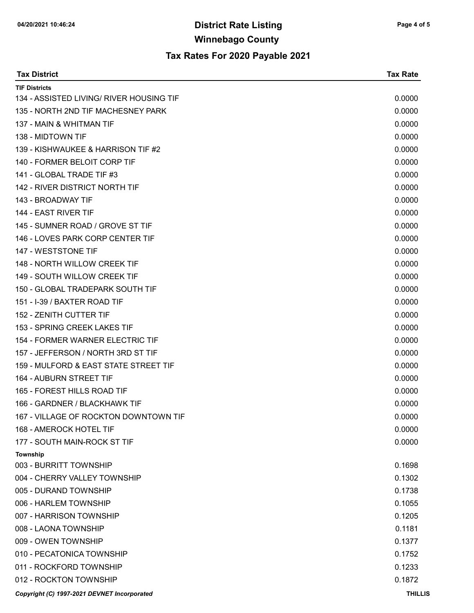| <b>Tax District</b>                         | <b>Tax Rate</b> |
|---------------------------------------------|-----------------|
| <b>TIF Districts</b>                        |                 |
| 134 - ASSISTED LIVING/ RIVER HOUSING TIF    | 0.0000          |
| 135 - NORTH 2ND TIF MACHESNEY PARK          | 0.0000          |
| 137 - MAIN & WHITMAN TIF                    | 0.0000          |
| 138 - MIDTOWN TIF                           | 0.0000          |
| 139 - KISHWAUKEE & HARRISON TIF #2          | 0.0000          |
| 140 - FORMER BELOIT CORP TIF                | 0.0000          |
| 141 - GLOBAL TRADE TIF #3                   | 0.0000          |
| 142 - RIVER DISTRICT NORTH TIF              | 0.0000          |
| 143 - BROADWAY TIF                          | 0.0000          |
| 144 - EAST RIVER TIF                        | 0.0000          |
| 145 - SUMNER ROAD / GROVE ST TIF            | 0.0000          |
| 146 - LOVES PARK CORP CENTER TIF            | 0.0000          |
| 147 - WESTSTONE TIF                         | 0.0000          |
| 148 - NORTH WILLOW CREEK TIF                | 0.0000          |
| 149 - SOUTH WILLOW CREEK TIF                | 0.0000          |
| 150 - GLOBAL TRADEPARK SOUTH TIF            | 0.0000          |
| 151 - I-39 / BAXTER ROAD TIF                | 0.0000          |
| 152 - ZENITH CUTTER TIF                     | 0.0000          |
| 153 - SPRING CREEK LAKES TIF                | 0.0000          |
| 154 - FORMER WARNER ELECTRIC TIF            | 0.0000          |
| 157 - JEFFERSON / NORTH 3RD ST TIF          | 0.0000          |
| 159 - MULFORD & EAST STATE STREET TIF       | 0.0000          |
| <b>164 - AUBURN STREET TIF</b>              | 0.0000          |
| 165 - FOREST HILLS ROAD TIF                 | 0.0000          |
| 166 - GARDNER / BLACKHAWK TIF               | 0.0000          |
| 167 - VILLAGE OF ROCKTON DOWNTOWN TIF       | 0.0000          |
| 168 - AMEROCK HOTEL TIF                     | 0.0000          |
| 177 - SOUTH MAIN-ROCK ST TIF                | 0.0000          |
| Township                                    |                 |
| 003 - BURRITT TOWNSHIP                      | 0.1698          |
| 004 - CHERRY VALLEY TOWNSHIP                | 0.1302          |
| 005 - DURAND TOWNSHIP                       | 0.1738          |
| 006 - HARLEM TOWNSHIP                       | 0.1055          |
| 007 - HARRISON TOWNSHIP                     | 0.1205          |
| 008 - LAONA TOWNSHIP                        | 0.1181          |
| 009 - OWEN TOWNSHIP                         | 0.1377          |
| 010 - PECATONICA TOWNSHIP                   | 0.1752          |
| 011 - ROCKFORD TOWNSHIP                     | 0.1233          |
| 012 - ROCKTON TOWNSHIP                      | 0.1872          |
| Copyright (C) 1997-2021 DEVNET Incorporated | <b>THILLIS</b>  |